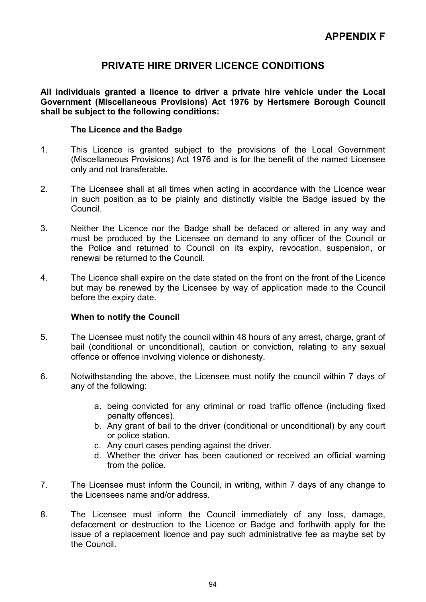# PRIVATE HIRE DRIVER LICENCE CONDITIONS

All individuals granted a licence to driver a private hire vehicle under the Local Government (Miscellaneous Provisions) Act 1976 by Hertsmere Borough Council shall be subject to the following conditions:

#### The Licence and the Badge

- 1. This Licence is granted subject to the provisions of the Local Government (Miscellaneous Provisions) Act 1976 and is for the benefit of the named Licensee only and not transferable.
- 2. The Licensee shall at all times when acting in accordance with the Licence wear in such position as to be plainly and distinctly visible the Badge issued by the Council.
- 3. Neither the Licence nor the Badge shall be defaced or altered in any way and must be produced by the Licensee on demand to any officer of the Council or the Police and returned to Council on its expiry, revocation, suspension, or renewal be returned to the Council.
- 4. The Licence shall expire on the date stated on the front on the front of the Licence but may be renewed by the Licensee by way of application made to the Council before the expiry date.

## When to notify the Council

- 5. The Licensee must notify the council within 48 hours of any arrest, charge, grant of bail (conditional or unconditional), caution or conviction, relating to any sexual offence or offence involving violence or dishonesty.
- 6. Notwithstanding the above, the Licensee must notify the council within 7 days of any of the following:
	- a. being convicted for any criminal or road traffic offence (including fixed penalty offences).
	- b. Any grant of bail to the driver (conditional or unconditional) by any court or police station.
	- c. Any court cases pending against the driver.
	- d. Whether the driver has been cautioned or received an official warning from the police.
- 7. The Licensee must inform the Council, in writing, within 7 days of any change to the Licensees name and/or address.
- 8. The Licensee must inform the Council immediately of any loss, damage, defacement or destruction to the Licence or Badge and forthwith apply for the issue of a replacement licence and pay such administrative fee as maybe set by the Council.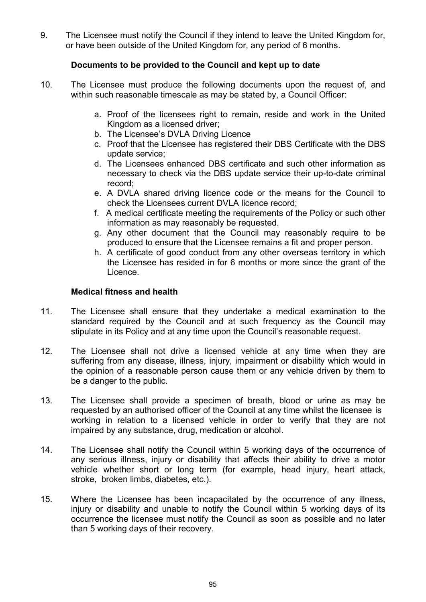9. The Licensee must notify the Council if they intend to leave the United Kingdom for, or have been outside of the United Kingdom for, any period of 6 months.

## Documents to be provided to the Council and kept up to date

- 10. The Licensee must produce the following documents upon the request of, and within such reasonable timescale as may be stated by, a Council Officer:
	- a. Proof of the licensees right to remain, reside and work in the United Kingdom as a licensed driver;
	- b. The Licensee's DVLA Driving Licence
	- c. Proof that the Licensee has registered their DBS Certificate with the DBS update service;
	- d. The Licensees enhanced DBS certificate and such other information as necessary to check via the DBS update service their up-to-date criminal record;
	- e. A DVLA shared driving licence code or the means for the Council to check the Licensees current DVLA licence record;
	- f. A medical certificate meeting the requirements of the Policy or such other information as may reasonably be requested.
	- g. Any other document that the Council may reasonably require to be produced to ensure that the Licensee remains a fit and proper person.
	- h. A certificate of good conduct from any other overseas territory in which the Licensee has resided in for 6 months or more since the grant of the Licence.

## Medical fitness and health

- 11. The Licensee shall ensure that they undertake a medical examination to the standard required by the Council and at such frequency as the Council may stipulate in its Policy and at any time upon the Council's reasonable request.
- 12. The Licensee shall not drive a licensed vehicle at any time when they are suffering from any disease, illness, injury, impairment or disability which would in the opinion of a reasonable person cause them or any vehicle driven by them to be a danger to the public.
- 13. The Licensee shall provide a specimen of breath, blood or urine as may be requested by an authorised officer of the Council at any time whilst the licensee is working in relation to a licensed vehicle in order to verify that they are not impaired by any substance, drug, medication or alcohol.
- 14. The Licensee shall notify the Council within 5 working days of the occurrence of any serious illness, injury or disability that affects their ability to drive a motor vehicle whether short or long term (for example, head injury, heart attack, stroke, broken limbs, diabetes, etc.).
- 15. Where the Licensee has been incapacitated by the occurrence of any illness, injury or disability and unable to notify the Council within 5 working days of its occurrence the licensee must notify the Council as soon as possible and no later than 5 working days of their recovery.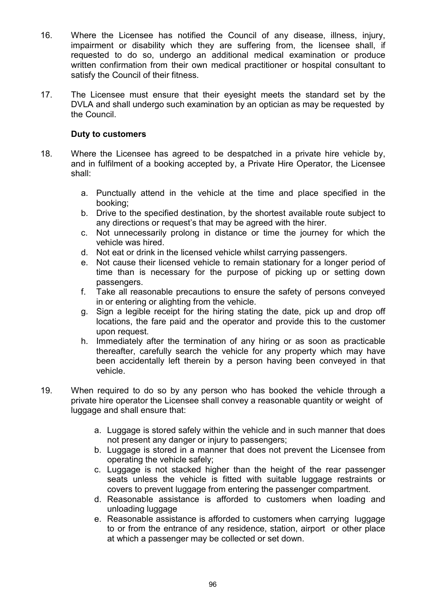- 16. Where the Licensee has notified the Council of any disease, illness, injury, impairment or disability which they are suffering from, the licensee shall, if requested to do so, undergo an additional medical examination or produce written confirmation from their own medical practitioner or hospital consultant to satisfy the Council of their fitness.
- 17. The Licensee must ensure that their eyesight meets the standard set by the DVLA and shall undergo such examination by an optician as may be requested by the Council.

## Duty to customers

- 18. Where the Licensee has agreed to be despatched in a private hire vehicle by, and in fulfilment of a booking accepted by, a Private Hire Operator, the Licensee shall:
	- a. Punctually attend in the vehicle at the time and place specified in the booking;
	- b. Drive to the specified destination, by the shortest available route subject to any directions or request's that may be agreed with the hirer.
	- c. Not unnecessarily prolong in distance or time the journey for which the vehicle was hired.
	- d. Not eat or drink in the licensed vehicle whilst carrying passengers.
	- e. Not cause their licensed vehicle to remain stationary for a longer period of time than is necessary for the purpose of picking up or setting down passengers.
	- f. Take all reasonable precautions to ensure the safety of persons conveyed in or entering or alighting from the vehicle.
	- g. Sign a legible receipt for the hiring stating the date, pick up and drop off locations, the fare paid and the operator and provide this to the customer upon request.
	- h. Immediately after the termination of any hiring or as soon as practicable thereafter, carefully search the vehicle for any property which may have been accidentally left therein by a person having been conveyed in that vehicle.
- 19. When required to do so by any person who has booked the vehicle through a private hire operator the Licensee shall convey a reasonable quantity or weight of luggage and shall ensure that:
	- a. Luggage is stored safely within the vehicle and in such manner that does not present any danger or injury to passengers;
	- b. Luggage is stored in a manner that does not prevent the Licensee from operating the vehicle safely;
	- c. Luggage is not stacked higher than the height of the rear passenger seats unless the vehicle is fitted with suitable luggage restraints or covers to prevent luggage from entering the passenger compartment.
	- d. Reasonable assistance is afforded to customers when loading and unloading luggage
	- e. Reasonable assistance is afforded to customers when carrying luggage to or from the entrance of any residence, station, airport or other place at which a passenger may be collected or set down.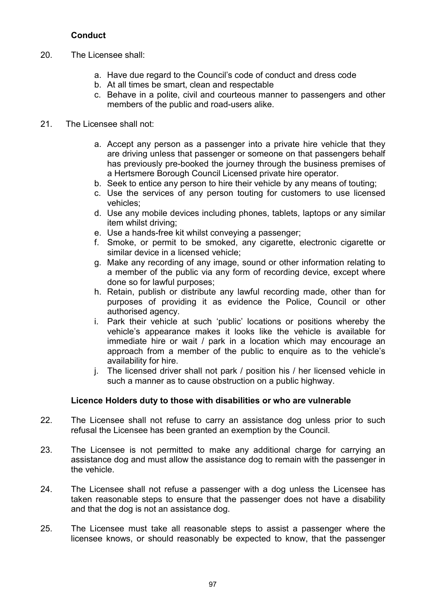## **Conduct**

- 20. The Licensee shall:
	- a. Have due regard to the Council's code of conduct and dress code
	- b. At all times be smart, clean and respectable
	- c. Behave in a polite, civil and courteous manner to passengers and other members of the public and road-users alike.
- 21. The Licensee shall not:
	- a. Accept any person as a passenger into a private hire vehicle that they are driving unless that passenger or someone on that passengers behalf has previously pre-booked the journey through the business premises of a Hertsmere Borough Council Licensed private hire operator.
	- b. Seek to entice any person to hire their vehicle by any means of touting;
	- c. Use the services of any person touting for customers to use licensed vehicles;
	- d. Use any mobile devices including phones, tablets, laptops or any similar item whilst driving;
	- e. Use a hands-free kit whilst conveying a passenger;
	- f. Smoke, or permit to be smoked, any cigarette, electronic cigarette or similar device in a licensed vehicle;
	- g. Make any recording of any image, sound or other information relating to a member of the public via any form of recording device, except where done so for lawful purposes;
	- h. Retain, publish or distribute any lawful recording made, other than for purposes of providing it as evidence the Police, Council or other authorised agency.
	- i. Park their vehicle at such 'public' locations or positions whereby the vehicle's appearance makes it looks like the vehicle is available for immediate hire or wait / park in a location which may encourage an approach from a member of the public to enquire as to the vehicle's availability for hire.
	- j. The licensed driver shall not park / position his / her licensed vehicle in such a manner as to cause obstruction on a public highway.

## Licence Holders duty to those with disabilities or who are vulnerable

- 22. The Licensee shall not refuse to carry an assistance dog unless prior to such refusal the Licensee has been granted an exemption by the Council.
- 23. The Licensee is not permitted to make any additional charge for carrying an assistance dog and must allow the assistance dog to remain with the passenger in the vehicle.
- 24. The Licensee shall not refuse a passenger with a dog unless the Licensee has taken reasonable steps to ensure that the passenger does not have a disability and that the dog is not an assistance dog.
- 25. The Licensee must take all reasonable steps to assist a passenger where the licensee knows, or should reasonably be expected to know, that the passenger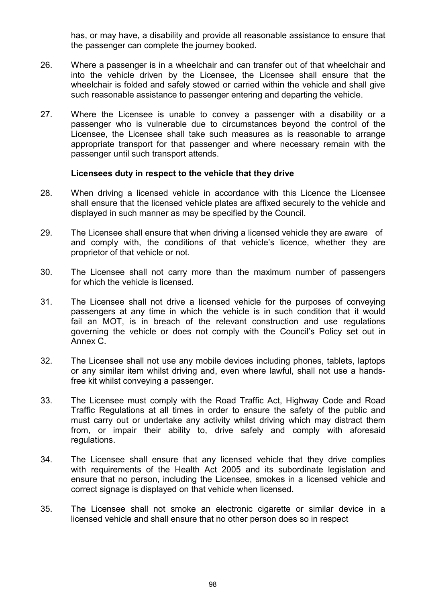has, or may have, a disability and provide all reasonable assistance to ensure that the passenger can complete the journey booked.

- 26. Where a passenger is in a wheelchair and can transfer out of that wheelchair and into the vehicle driven by the Licensee, the Licensee shall ensure that the wheelchair is folded and safely stowed or carried within the vehicle and shall give such reasonable assistance to passenger entering and departing the vehicle.
- 27. Where the Licensee is unable to convey a passenger with a disability or a passenger who is vulnerable due to circumstances beyond the control of the Licensee, the Licensee shall take such measures as is reasonable to arrange appropriate transport for that passenger and where necessary remain with the passenger until such transport attends.

#### Licensees duty in respect to the vehicle that they drive

- 28. When driving a licensed vehicle in accordance with this Licence the Licensee shall ensure that the licensed vehicle plates are affixed securely to the vehicle and displayed in such manner as may be specified by the Council.
- 29. The Licensee shall ensure that when driving a licensed vehicle they are aware of and comply with, the conditions of that vehicle's licence, whether they are proprietor of that vehicle or not.
- 30. The Licensee shall not carry more than the maximum number of passengers for which the vehicle is licensed.
- 31. The Licensee shall not drive a licensed vehicle for the purposes of conveying passengers at any time in which the vehicle is in such condition that it would fail an MOT, is in breach of the relevant construction and use regulations governing the vehicle or does not comply with the Council's Policy set out in Annex C.
- 32. The Licensee shall not use any mobile devices including phones, tablets, laptops or any similar item whilst driving and, even where lawful, shall not use a hands free kit whilst conveying a passenger.
- 33. The Licensee must comply with the Road Traffic Act, Highway Code and Road Traffic Regulations at all times in order to ensure the safety of the public and must carry out or undertake any activity whilst driving which may distract them from, or impair their ability to, drive safely and comply with aforesaid regulations.
- 34. The Licensee shall ensure that any licensed vehicle that they drive complies with requirements of the Health Act 2005 and its subordinate legislation and ensure that no person, including the Licensee, smokes in a licensed vehicle and correct signage is displayed on that vehicle when licensed.
- 35. The Licensee shall not smoke an electronic cigarette or similar device in a licensed vehicle and shall ensure that no other person does so in respect